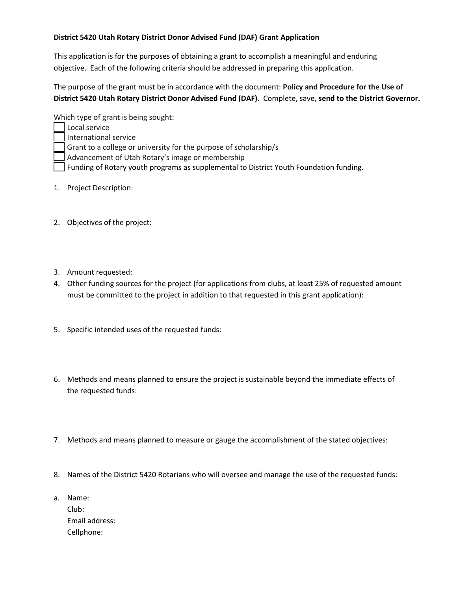## **District 5420 Utah Rotary District Donor Advised Fund (DAF) Grant Application**

This application is for the purposes of obtaining a grant to accomplish a meaningful and enduring objective. Each of the following criteria should be addressed in preparing this application.

The purpose of the grant must be in accordance with the document: **Policy and Procedure for the Use of District 5420 Utah Rotary District Donor Advised Fund (DAF).** Complete, save, **send to the District Governor.**

Which type of grant is being sought:

- Local service International service Grant to a college or university for the purpose of scholarship/s Advancement of Utah Rotary's image or membership Funding of Rotary youth programs as supplemental to District Youth Foundation funding.
- 1. Project Description:
- 2. Objectives of the project:
- 3. Amount requested:
- 4. Other funding sources for the project (for applications from clubs, at least 25% of requested amount must be committed to the project in addition to that requested in this grant application):
- 5. Specific intended uses of the requested funds:
- 6. Methods and means planned to ensure the project is sustainable beyond the immediate effects of the requested funds:
- 7. Methods and means planned to measure or gauge the accomplishment of the stated objectives:
- 8. Names of the District 5420 Rotarians who will oversee and manage the use of the requested funds:
- a. Name: Club: Email address: Cellphone: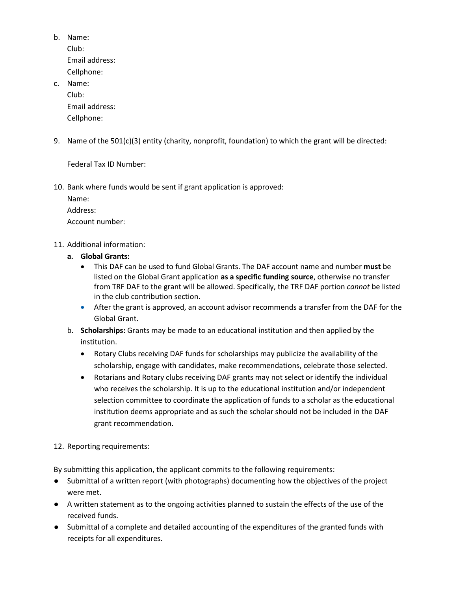b. Name: Club: Email address: Cellphone: c. Name:

- Club: Email address: Cellphone:
- 9. Name of the 501(c)(3) entity (charity, nonprofit, foundation) to which the grant will be directed:

Federal Tax ID Number:

10. Bank where funds would be sent if grant application is approved:

Name:

Address:

Account number:

- 11. Additional information:
	- **a. Global Grants:** 
		- This DAF can be used to fund Global Grants. The DAF account name and number **must** be listed on the Global Grant application **as a specific funding source**, otherwise no transfer from TRF DAF to the grant will be allowed. Specifically, the TRF DAF portion *cannot* be listed in the club contribution section.
		- After the grant is approved, an account advisor recommends a transfer from the DAF for the Global Grant.
	- b. **Scholarships:** Grants may be made to an educational institution and then applied by the institution.
		- Rotary Clubs receiving DAF funds for scholarships may publicize the availability of the scholarship, engage with candidates, make recommendations, celebrate those selected.
		- Rotarians and Rotary clubs receiving DAF grants may not select or identify the individual who receives the scholarship. It is up to the educational institution and/or independent selection committee to coordinate the application of funds to a scholar as the educational institution deems appropriate and as such the scholar should not be included in the DAF grant recommendation.

12. Reporting requirements:

By submitting this application, the applicant commits to the following requirements:

- Submittal of a written report (with photographs) documenting how the objectives of the project were met.
- A written statement as to the ongoing activities planned to sustain the effects of the use of the received funds.
- Submittal of a complete and detailed accounting of the expenditures of the granted funds with receipts for all expenditures.